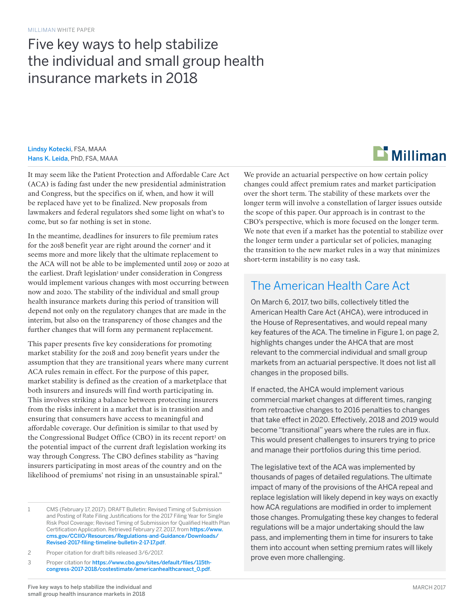## Five key ways to help stabilize the individual and small group health insurance markets in 2018

Lindsy Kotecki, FSA, MAAA Hans K. Leida, PhD, FSA, MAAA

It may seem like the Patient Protection and Affordable Care Act (ACA) is fading fast under the new presidential administration and Congress, but the specifics on if, when, and how it will be replaced have yet to be finalized. New proposals from lawmakers and federal regulators shed some light on what's to come, but so far nothing is set in stone.

In the meantime, deadlines for insurers to file premium rates for the 2018 benefit year are right around the corner<sup>1</sup> and it seems more and more likely that the ultimate replacement to the ACA will not be able to be implemented until 2019 or 2020 at the earliest. Draft legislation<sup>2</sup> under consideration in Congress would implement various changes with most occurring between now and 2020. The stability of the individual and small group health insurance markets during this period of transition will depend not only on the regulatory changes that are made in the interim, but also on the transparency of those changes and the further changes that will form any permanent replacement.

This paper presents five key considerations for promoting market stability for the 2018 and 2019 benefit years under the assumption that they are transitional years where many current ACA rules remain in effect. For the purpose of this paper, market stability is defined as the creation of a marketplace that both insurers and insureds will find worth participating in. This involves striking a balance between protecting insurers from the risks inherent in a market that is in transition and ensuring that consumers have access to meaningful and affordable coverage. Our definition is similar to that used by the Congressional Budget Office (CBO) in its recent report<sup>3</sup> on the potential impact of the current draft legislation working its way through Congress. The CBO defines stability as "having insurers participating in most areas of the country and on the likelihood of premiums' not rising in an unsustainable spiral."

1 CMS (February 17, 2017). DRAFT Bulletin: Revised Timing of Submission and Posting of Rate Filing Justifications for the 2017 Filing Year for Single Risk Pool Coverage; Revised Timing of Submission for Qualified Health Plan Certification Application. Retrieved February 27, 2017, from [https://www.](https://www.cms.gov/CCIIO/Resources/Regulations-and-Guidance/Downloads/Revised-2017-filing-timeline-bulletin-2-17-17.pdf) [cms.gov/CCIIO/Resources/Regulations-and-Guidance/Downloads/](https://www.cms.gov/CCIIO/Resources/Regulations-and-Guidance/Downloads/Revised-2017-filing-timeline-bulletin-2-17-17.pdf) [Revised-2017-filing-timeline-bulletin-2-17-17.pdf](https://www.cms.gov/CCIIO/Resources/Regulations-and-Guidance/Downloads/Revised-2017-filing-timeline-bulletin-2-17-17.pdf).

2 Proper citation for draft bills released 3/6/2017.

3 Proper citation for [https://www.cbo.gov/sites/default/files/115th](https://www.cbo.gov/sites/default/files/115th-congress-2017-2018/costestimate/americanhealthcareact_0.pdf)[congress-2017-2018/costestimate/americanhealthcareact\\_0.pdf](https://www.cbo.gov/sites/default/files/115th-congress-2017-2018/costestimate/americanhealthcareact_0.pdf).

We provide an actuarial perspective on how certain policy changes could affect premium rates and market participation over the short term. The stability of these markets over the longer term will involve a constellation of larger issues outside the scope of this paper. Our approach is in contrast to the CBO's perspective, which is more focused on the longer term. We note that even if a market has the potential to stabilize over the longer term under a particular set of policies, managing the transition to the new market rules in a way that minimizes short-term instability is no easy task.

### The American Health Care Act

On March 6, 2017, two bills, collectively titled the American Health Care Act (AHCA), were introduced in the House of Representatives, and would repeal many key features of the ACA. The timeline in Figure 1, on page 2, highlights changes under the AHCA that are most relevant to the commercial individual and small group markets from an actuarial perspective. It does not list all changes in the proposed bills.

If enacted, the AHCA would implement various commercial market changes at different times, ranging from retroactive changes to 2016 penalties to changes that take effect in 2020. Effectively, 2018 and 2019 would become "transitional" years where the rules are in flux. This would present challenges to insurers trying to price and manage their portfolios during this time period.

The legislative text of the ACA was implemented by thousands of pages of detailed regulations. The ultimate impact of many of the provisions of the AHCA repeal and replace legislation will likely depend in key ways on exactly how ACA regulations are modified in order to implement those changes. Promulgating these key changes to federal regulations will be a major undertaking should the law pass, and implementing them in time for insurers to take them into account when setting premium rates will likely prove even more challenging.

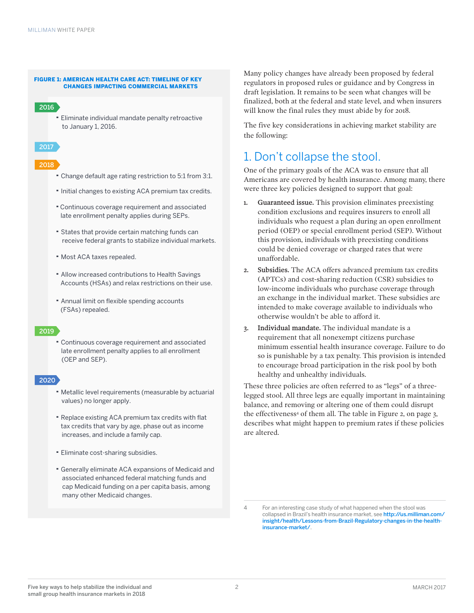#### FIGURE 1: AMERICAN HEALTH CARE ACT: TIMELINE OF KEY CHANGES IMPACTING COMMERCIAL MARKETS

#### 2016

· Eliminate individual mandate penalty retroactive to January 1, 2016.



#### 2018

- · Change default age rating restriction to 5:1 from 3:1.
- · Initial changes to existing ACA premium tax credits.
- · Continuous coverage requirement and associated late enrollment penalty applies during SEPs.
- · States that provide certain matching funds can receive federal grants to stabilize individual markets.
- · Most ACA taxes repealed.
- · Allow increased contributions to Health Savings Accounts (HSAs) and relax restrictions on their use.
- Annual limit on flexible spending accounts (FSAs) repealed.

#### 2019

· Continuous coverage requirement and associated late enrollment penalty applies to all enrollment (OEP and SEP).

#### 2020

- · Metallic level requirements (measurable by actuarial values) no longer apply.
- Replace existing ACA premium tax credits with flat tax credits that vary by age, phase out as income increases, and include a family cap.
- · Eliminate cost-sharing subsidies.
- · Generally eliminate ACA expansions of Medicaid and associated enhanced federal matching funds and cap Medicaid funding on a per capita basis, among many other Medicaid changes.

Many policy changes have already been proposed by federal regulators in proposed rules or guidance and by Congress in draft legislation. It remains to be seen what changes will be finalized, both at the federal and state level, and when insurers will know the final rules they must abide by for 2018.

The five key considerations in achieving market stability are the following:

### 1. Don't collapse the stool.

One of the primary goals of the ACA was to ensure that all Americans are covered by health insurance. Among many, there were three key policies designed to support that goal:

- 1. Guaranteed issue. This provision eliminates preexisting condition exclusions and requires insurers to enroll all individuals who request a plan during an open enrollment period (OEP) or special enrollment period (SEP). Without this provision, individuals with preexisting conditions could be denied coverage or charged rates that were unaffordable.
- 2. Subsidies. The ACA offers advanced premium tax credits (APTCs) and cost-sharing reduction (CSR) subsidies to low-income individuals who purchase coverage through an exchange in the individual market. These subsidies are intended to make coverage available to individuals who otherwise wouldn't be able to afford it.
- 3. Individual mandate. The individual mandate is a requirement that all nonexempt citizens purchase minimum essential health insurance coverage. Failure to do so is punishable by a tax penalty. This provision is intended to encourage broad participation in the risk pool by both healthy and unhealthy individuals.

These three policies are often referred to as "legs" of a threelegged stool. All three legs are equally important in maintaining balance, and removing or altering one of them could disrupt the effectiveness<sup>4</sup> of them all. The table in Figure 2, on page 3, describes what might happen to premium rates if these policies are altered.

<sup>4</sup> For an interesting case study of what happened when the stool was collapsed in Brazil's health insurance market, see [http://us.milliman.com/](http://us.milliman.com/insight/health/Lessons-from-Brazil-Regulatory-changes-in-the-health-insurance-market/) [insight/health/Lessons-from-Brazil-Regulatory-changes-in-the-health](http://us.milliman.com/insight/health/Lessons-from-Brazil-Regulatory-changes-in-the-health-insurance-market/)[insurance-market/](http://us.milliman.com/insight/health/Lessons-from-Brazil-Regulatory-changes-in-the-health-insurance-market/).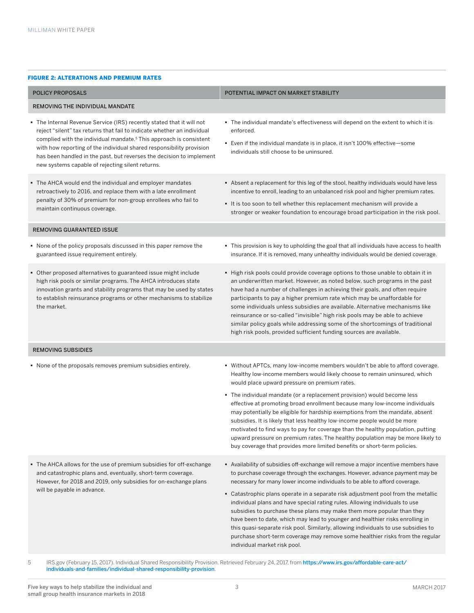#### FIGURE 2: ALTERATIONS AND PREMIUM RATES

| <b>POLICY PROPOSALS</b>                                                                                                                                                                                                                                                                                                                                                                                                                | POTENTIAL IMPACT ON MARKET STABILITY                                                                                                                                                                                                                                                                                                                                                                                                                                                                                                                                                                                                            |  |
|----------------------------------------------------------------------------------------------------------------------------------------------------------------------------------------------------------------------------------------------------------------------------------------------------------------------------------------------------------------------------------------------------------------------------------------|-------------------------------------------------------------------------------------------------------------------------------------------------------------------------------------------------------------------------------------------------------------------------------------------------------------------------------------------------------------------------------------------------------------------------------------------------------------------------------------------------------------------------------------------------------------------------------------------------------------------------------------------------|--|
| <b>REMOVING THE INDIVIDUAL MANDATE</b>                                                                                                                                                                                                                                                                                                                                                                                                 |                                                                                                                                                                                                                                                                                                                                                                                                                                                                                                                                                                                                                                                 |  |
| • The Internal Revenue Service (IRS) recently stated that it will not<br>reject "silent" tax returns that fail to indicate whether an individual<br>complied with the individual mandate. <sup>5</sup> This approach is consistent<br>with how reporting of the individual shared responsibility provision<br>has been handled in the past, but reverses the decision to implement<br>new systems capable of rejecting silent returns. | . The individual mandate's effectiveness will depend on the extent to which it is<br>enforced.<br>• Even if the individual mandate is in place, it isn't 100% effective-some<br>individuals still choose to be uninsured.                                                                                                                                                                                                                                                                                                                                                                                                                       |  |
| • The AHCA would end the individual and employer mandates<br>retroactively to 2016, and replace them with a late enrollment<br>penalty of 30% of premium for non-group enrollees who fail to<br>maintain continuous coverage.                                                                                                                                                                                                          | Absent a replacement for this leg of the stool, healthy individuals would have less<br>incentive to enroll, leading to an unbalanced risk pool and higher premium rates.<br>It is too soon to tell whether this replacement mechanism will provide a<br>stronger or weaker foundation to encourage broad participation in the risk pool.                                                                                                                                                                                                                                                                                                        |  |
| <b>REMOVING GUARANTEED ISSUE</b>                                                                                                                                                                                                                                                                                                                                                                                                       |                                                                                                                                                                                                                                                                                                                                                                                                                                                                                                                                                                                                                                                 |  |
| • None of the policy proposals discussed in this paper remove the<br>guaranteed issue requirement entirely.                                                                                                                                                                                                                                                                                                                            | . This provision is key to upholding the goal that all individuals have access to health<br>insurance. If it is removed, many unhealthy individuals would be denied coverage.                                                                                                                                                                                                                                                                                                                                                                                                                                                                   |  |
| • Other proposed alternatives to guaranteed issue might include<br>high risk pools or similar programs. The AHCA introduces state<br>innovation grants and stability programs that may be used by states<br>to establish reinsurance programs or other mechanisms to stabilize<br>the market.                                                                                                                                          | ■ High risk pools could provide coverage options to those unable to obtain it in<br>an underwritten market. However, as noted below, such programs in the past<br>have had a number of challenges in achieving their goals, and often require<br>participants to pay a higher premium rate which may be unaffordable for<br>some individuals unless subsidies are available. Alternative mechanisms like<br>reinsurance or so-called "invisible" high risk pools may be able to achieve<br>similar policy goals while addressing some of the shortcomings of traditional<br>high risk pools, provided sufficient funding sources are available. |  |
| <b>REMOVING SUBSIDIES</b>                                                                                                                                                                                                                                                                                                                                                                                                              |                                                                                                                                                                                                                                                                                                                                                                                                                                                                                                                                                                                                                                                 |  |
| • None of the proposals removes premium subsidies entirely.                                                                                                                                                                                                                                                                                                                                                                            | . Without APTCs, many low-income members wouldn't be able to afford coverage.<br>Healthy low-income members would likely choose to remain uninsured, which<br>would place upward pressure on premium rates.<br>• The individual mandate (or a replacement provision) would become less                                                                                                                                                                                                                                                                                                                                                          |  |
|                                                                                                                                                                                                                                                                                                                                                                                                                                        | effective at promoting broad enrollment because many low-income individuals<br>may potentially be eligible for hardship exemptions from the mandate, absent<br>subsidies. It is likely that less healthy low-income people would be more<br>motivated to find ways to pay for coverage than the healthy population, putting<br>upward pressure on premium rates. The healthy population may be more likely to<br>buy coverage that provides more limited benefits or short-term policies.                                                                                                                                                       |  |
| • The AHCA allows for the use of premium subsidies for off-exchange<br>and catastrophic plans and, eventually, short-term coverage.<br>However, for 2018 and 2019, only subsidies for on-exchange plans<br>will be payable in advance.                                                                                                                                                                                                 | Availability of subsidies off-exchange will remove a major incentive members have<br>to purchase coverage through the exchanges. However, advance payment may be<br>necessary for many lower income individuals to be able to afford coverage.<br>■ Catastrophic plans operate in a separate risk adjustment pool from the metallic<br>individual plans and have special rating rules. Allowing individuals to use                                                                                                                                                                                                                              |  |
|                                                                                                                                                                                                                                                                                                                                                                                                                                        | subsidies to purchase these plans may make them more popular than they<br>have been to date, which may lead to younger and healthier risks enrolling in                                                                                                                                                                                                                                                                                                                                                                                                                                                                                         |  |

individual market risk pool.

this quasi-separate risk pool. Similarly, allowing individuals to use subsidies to purchase short-term coverage may remove some healthier risks from the regular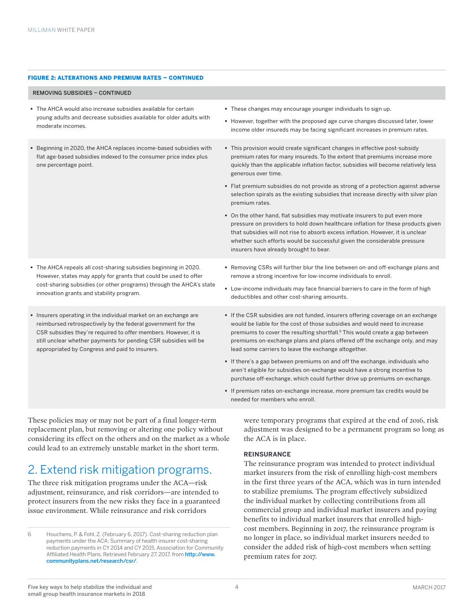#### FIGURE 2: ALTERATIONS AND PREMIUM RATES – CONTINUED

#### REMOVING SUBSIDIES – CONTINUED

- The AHCA would also increase subsidies available for certain young adults and decrease subsidies available for older adults with moderate incomes.
- § Beginning in 2020, the AHCA replaces income-based subsidies with flat age-based subsidies indexed to the consumer price index plus one percentage point.

- § The AHCA repeals all cost-sharing subsidies beginning in 2020. However, states may apply for grants that could be used to offer cost-sharing subsidies (or other programs) through the AHCA's state innovation grants and stability program.
- § Insurers operating in the individual market on an exchange are reimbursed retrospectively by the federal government for the CSR subsidies they're required to offer members. However, it is still unclear whether payments for pending CSR subsidies will be appropriated by Congress and paid to insurers.

§ These changes may encourage younger individuals to sign up.

- § However, together with the proposed age curve changes discussed later, lower income older insureds may be facing significant increases in premium rates.
- § This provision would create significant changes in effective post-subsidy premium rates for many insureds. To the extent that premiums increase more quickly than the applicable inflation factor, subsidies will become relatively less generous over time.
- Flat premium subsidies do not provide as strong of a protection against adverse selection spirals as the existing subsidies that increase directly with silver plan premium rates.
- § On the other hand, flat subsidies may motivate insurers to put even more pressure on providers to hold down healthcare inflation for these products given that subsidies will not rise to absorb excess inflation. However, it is unclear whether such efforts would be successful given the considerable pressure insurers have already brought to bear.
- § Removing CSRs will further blur the line between on-and off-exchange plans and remove a strong incentive for low-income individuals to enroll.
- § Low-income individuals may face financial barriers to care in the form of high deductibles and other cost-sharing amounts.
- § If the CSR subsidies are not funded, insurers offering coverage on an exchange would be liable for the cost of those subsidies and would need to increase premiums to cover the resulting shortfall.<sup>6</sup> This would create a gap between premiums on-exchange plans and plans offered off the exchange only, and may lead some carriers to leave the exchange altogether.
- § If there's a gap between premiums on and off the exchange, individuals who aren't eligible for subsidies on-exchange would have a strong incentive to purchase off-exchange, which could further drive up premiums on-exchange.
- § If premium rates on-exchange increase, more premium tax credits would be needed for members who enroll.

These policies may or may not be part of a final longer-term replacement plan, but removing or altering one policy without considering its effect on the others and on the market as a whole could lead to an extremely unstable market in the short term.

### 2. Extend risk mitigation programs.

The three risk mitigation programs under the ACA—risk adjustment, reinsurance, and risk corridors—are intended to protect insurers from the new risks they face in a guaranteed issue environment. While reinsurance and risk corridors

were temporary programs that expired at the end of 2016, risk adjustment was designed to be a permanent program so long as the ACA is in place.

#### **REINSURANCE**

The reinsurance program was intended to protect individual market insurers from the risk of enrolling high-cost members in the first three years of the ACA, which was in turn intended to stabilize premiums. The program effectively subsidized the individual market by collecting contributions from all commercial group and individual market insurers and paying benefits to individual market insurers that enrolled highcost members. Beginning in 2017, the reinsurance program is no longer in place, so individual market insurers needed to consider the added risk of high-cost members when setting premium rates for 2017.

<sup>6</sup> Houchens, P. & Fohl, Z. (February 6, 2017). Cost-sharing reduction plan payments under the ACA: Summary of health insurer cost-sharing reduction payments in CY 2014 and CY 2015. Association for Community Affiliated Health Plans. Retrieved February 27, 2017, from [http://www.](http://www.communityplans.net/research/csr/) [communityplans.net/research/csr/](http://www.communityplans.net/research/csr/).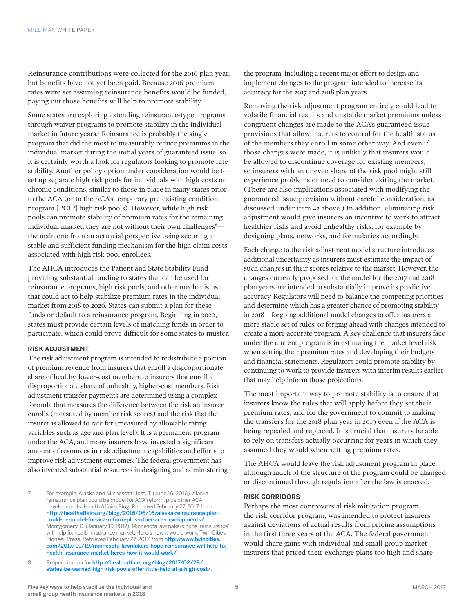Reinsurance contributions were collected for the 2016 plan year, but benefits have not yet been paid. Because 2016 premium rates were set assuming reinsurance benefits would be funded, paying out those benefits will help to promote stability.

Some states are exploring extending reinsurance-type programs through waiver programs to promote stability in the individual market in future years.7 Reinsurance is probably the single program that did the most to measurably reduce premiums in the individual market during the initial years of guaranteed issue, so it is certainly worth a look for regulators looking to promote rate stability. Another policy option under consideration would be to set up separate high risk pools for individuals with high costs or chronic conditions, similar to those in place in many states prior to the ACA (or to the ACA's temporary pre-existing condition program [PCIP] high risk pools). However, while high risk pools can promote stability of premium rates for the remaining individual market, they are not without their own challenges $^8$ the main one from an actuarial perspective being securing a stable and sufficient funding mechanism for the high claim costs associated with high risk pool enrollees.

The AHCA introduces the Patient and State Stability Fund providing substantial funding to states that can be used for reinsurance programs, high risk pools, and other mechanisms that could act to help stabilize premium rates in the individual market from 2018 to 2026. States can submit a plan for these funds or default to a reinsurance program. Beginning in 2020, states must provide certain levels of matching funds in order to participate, which could prove difficult for some states to muster.

#### **RISK ADJUSTMENT**

The risk adjustment program is intended to redistribute a portion of premium revenue from insurers that enroll a disproportionate share of healthy, lower-cost members to insurers that enroll a disproportionate share of unhealthy, higher-cost members. Risk adjustment transfer payments are determined using a complex formula that measures the difference between the risk an insurer enrolls (measured by member risk scores) and the risk that the insurer is allowed to rate for (measured by allowable rating variables such as age and plan level). It is a permanent program under the ACA, and many insurers have invested a significant amount of resources in risk adjustment capabilities and efforts to improve risk adjustment outcomes. The federal government has also invested substantial resources in designing and administering

the program, including a recent major effort to design and implement changes to the program intended to increase its accuracy for the 2017 and 2018 plan years.

Removing the risk adjustment program entirely could lead to volatile financial results and unstable market premiums unless congruent changes are made to the ACA's guaranteed issue provisions that allow insurers to control for the health status of the members they enroll in some other way. And even if those changes were made, it is unlikely that insurers would be allowed to discontinue coverage for existing members, so insurers with an uneven share of the risk pool might still experience problems or need to consider exiting the market. (There are also implications associated with modifying the guaranteed issue provision without careful consideration, as discussed under item #2 above.) In addition, eliminating risk adjustment would give insurers an incentive to work to attract healthier risks and avoid unhealthy risks, for example by designing plans, networks, and formularies accordingly.

Each change to the risk adjustment model structure introduces additional uncertainty as insurers must estimate the impact of such changes in their scores relative to the market. However, the changes currently proposed for the model for the 2017 and 2018 plan years are intended to substantially improve its predictive accuracy. Regulators will need to balance the competing priorities and determine which has a greater chance of promoting stability in 2018—forgoing additional model changes to offer insurers a more stable set of rules, or forging ahead with changes intended to create a more accurate program. A key challenge that insurers face under the current program is in estimating the market level risk when setting their premium rates and developing their budgets and financial statements. Regulators could promote stability by continuing to work to provide insurers with interim results earlier that may help inform those projections.

The most important way to promote stability is to ensure that insurers know the rules that will apply before they set their premium rates, and for the government to commit to making the transfers for the 2018 plan year in 2019 even if the ACA is being repealed and replaced. It is crucial that insurers be able to rely on transfers actually occurring for years in which they assumed they would when setting premium rates.

The AHCA would leave the risk adjustment program in place, although much of the structure of the program could be changed or discontinued through regulation after the law is enacted.

#### **RISK CORRIDORS**

Perhaps the most controversial risk mitigation program, the risk corridor program, was intended to protect insurers against deviations of actual results from pricing assumptions in the first three years of the ACA. The federal government would share gains with individual and small group market insurers that priced their exchange plans too high and share

<sup>7</sup> For example, Alaska and Minnesota: Jost, T. (June 16, 2016). Alaska reinsurance plan could be model for ACA reform, plus other ACA developments. Health Affairs Blog. Retrieved February 27, 2017, from [http://healthaffairs.org/blog/2016/06/16/alaska-reinsurance-plan](http://healthaffairs.org/blog/2016/06/16/alaska-reinsurance-plan-could-be-model-for-aca-reform-plus-other-aca-developments/)[could-be-model-for-aca-reform-plus-other-aca-developments/](http://healthaffairs.org/blog/2016/06/16/alaska-reinsurance-plan-could-be-model-for-aca-reform-plus-other-aca-developments/). Montgomery, D. (January 19, 2017). Minnesota lawmakers hope 'reinsurance' will help fix health insurance market. Here's how it would work. Twin Cities Pioneer Press. Retrieved February 27, 2017, from [http://www.twincities.](http://www.twincities.com/2017/01/19/minnesota-lawmakers-hope-reinsurance-will-help-fix-health-insurance-market-heres-how-it-would-work/) [com/2017/01/19/minnesota-lawmakers-hope-reinsurance-will-help-fix](http://www.twincities.com/2017/01/19/minnesota-lawmakers-hope-reinsurance-will-help-fix-health-insurance-market-heres-how-it-would-work/)[health-insurance-market-heres-how-it-would-work/](http://www.twincities.com/2017/01/19/minnesota-lawmakers-hope-reinsurance-will-help-fix-health-insurance-market-heres-how-it-would-work/).

<sup>8</sup> Proper citation for [http://healthaffairs.org/blog/2017/02/28/](http://healthaffairs.org/blog/2017/02/28/states-be-warned-high-risk-pools-offer-little-help-at-a-high-cost/) [states-be-warned-high-risk-pools-offer-little-help-at-a-high-cost/](http://healthaffairs.org/blog/2017/02/28/states-be-warned-high-risk-pools-offer-little-help-at-a-high-cost/).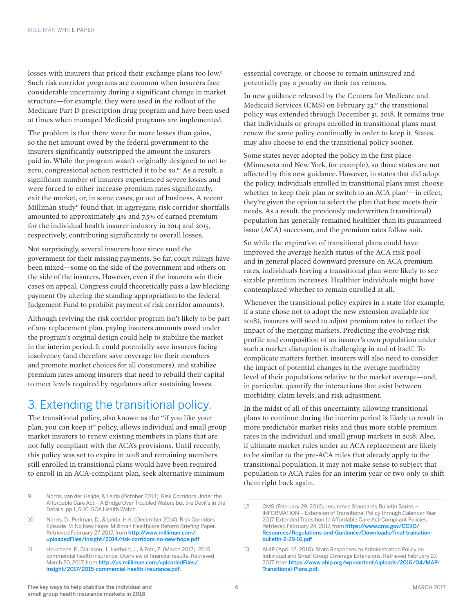losses with insurers that priced their exchange plans too low.<sup>9</sup> Such risk corridor programs are common when insurers face considerable uncertainty during a significant change in market structure—for example, they were used in the rollout of the Medicare Part D prescription drug program and have been used at times when managed Medicaid programs are implemented.

The problem is that there were far more losses than gains, so the net amount owed by the federal government to the insurers significantly outstripped the amount the insurers paid in. While the program wasn't originally designed to net to zero, congressional action restricted it to be so.10 As a result, a significant number of insurers experienced severe losses and were forced to either increase premium rates significantly, exit the market, or, in some cases, go out of business. A recent Milliman study<sup>11</sup> found that, in aggregate, risk corridor shortfalls amounted to approximately 4% and 7.5% of earned premium for the individual health insurer industry in 2014 and 2015, respectively, contributing significantly to overall losses.

Not surprisingly, several insurers have since sued the government for their missing payments. So far, court rulings have been mixed—some on the side of the government and others on the side of the insurers. However, even if the insurers win their cases on appeal, Congress could theoretically pass a law blocking payment (by altering the standing appropriation to the federal Judgement Fund to prohibit payment of risk corridor amounts).

Although reviving the risk corridor program isn't likely to be part of any replacement plan, paying insurers amounts owed under the program's original design could help to stabilize the market in the interim period. It could potentially save insurers facing insolvency (and therefore save coverage for their members and promote market choices for all consumers), and stabilize premium rates among insurers that need to rebuild their capital to meet levels required by regulators after sustaining losses.

### 3. Extending the transitional policy.

The transitional policy, also known as the "if you like your plan, you can keep it" policy, allows individual and small group market insurers to renew existing members in plans that are not fully compliant with the ACA's provisions. Until recently, this policy was set to expire in 2018 and remaining members still enrolled in transitional plans would have been required to enroll in an ACA-compliant plan, seek alternative minimum

essential coverage, or choose to remain uninsured and potentially pay a penalty on their tax returns.

In new guidance released by the Centers for Medicare and Medicaid Services (CMS) on February  $23$ ,<sup>12</sup> the transitional policy was extended through December 31, 2018. It remains true that individuals or groups enrolled in transitional plans must renew the same policy continually in order to keep it. States may also choose to end the transitional policy sooner.

Some states never adopted the policy in the first place (Minnesota and New York, for example), so those states are not affected by this new guidance. However, in states that did adopt the policy, individuals enrolled in transitional plans must choose whether to keep their plan or switch to an ACA plan<sup>13</sup>—in effect, they're given the option to select the plan that best meets their needs. As a result, the previously underwritten (transitional) population has generally remained healthier than its guaranteed issue (ACA) successor, and the premium rates follow suit.

So while the expiration of transitional plans could have improved the average health status of the ACA risk pool and in general placed downward pressure on ACA premium rates, individuals leaving a transitional plan were likely to see sizable premium increases. Healthier individuals might have contemplated whether to remain enrolled at all.

Whenever the transitional policy expires in a state (for example, if a state chose not to adopt the new extension available for 2018), insurers will need to adjust premium rates to reflect the impact of the merging markets. Predicting the evolving risk profile and composition of an insurer's own population under such a market disruption is challenging in and of itself. To complicate matters further, insurers will also need to consider the impact of potential changes in the average morbidity level of their populations relative to the market average—and, in particular, quantify the interactions that exist between morbidity, claim levels, and risk adjustment.

In the midst of all of this uncertainty, allowing transitional plans to continue during the interim period is likely to result in more predictable market risks and thus more stable premium rates in the individual and small group markets in 2018. Also, if ultimate market rules under an ACA replacement are likely to be similar to the pre-ACA rules that already apply to the transitional population, it may not make sense to subject that population to ACA rules for an interim year or two only to shift them right back again.

<sup>9</sup> Norris, van der Heijde, & Leida (October 2013). Risk Corridors Under the Affordable Care Act – A Bridge Over Troubled Waters but the Devil's in the Details, pp.1, 5-10. SOA Health Watch.

<sup>10</sup> Norris, D., Perlman, D., & Leida, H.K. (December 2014). Risk Corridors Episode IV: No New Hope. Milliman Healthcare Reform Briefing Paper. Retrieved February 27, 2017, from [http://www.milliman.com/](http://www.milliman.com/uploadedFiles/insight/2014/risk-corridors-no-new-hope.pdf) [uploadedFiles/insight/2014/risk-corridors-no-new-hope.pdf](http://www.milliman.com/uploadedFiles/insight/2014/risk-corridors-no-new-hope.pdf).

<sup>11</sup> Houchens, P., Clarkson, J., Herbold, J., & Fohl, Z. (March 2017). 2015 commercial health insurance: Overview of financial results. Retrieved March 20, 2017, from [http://us.milliman.com/uploadedFiles/](http://us.milliman.com/uploadedFiles/insight/2017/2015-commercial-health-insurance.pdf) [insight/2017/2015-commercial-health-insurance.pdf](http://us.milliman.com/uploadedFiles/insight/2017/2015-commercial-health-insurance.pdf).

<sup>12</sup> CMS (February 29, 2016). Insurance Standards Bulletin Series -- INFORMATION – Extension of Transitional Policy through Calendar Year 2017. Extended Transition to Affordable Care Act-Compliant Policies. Retrieved February 24, 2017, from [https://www.cms.gov/CCIIO/](https://www.cms.gov/CCIIO/Resources/Regulations-and-Guidance/Downloads/final-transition-bulletin-2-29-16.pdf) [Resources/Regulations-and-Guidance/Downloads/final-transition](https://www.cms.gov/CCIIO/Resources/Regulations-and-Guidance/Downloads/final-transition-bulletin-2-29-16.pdf)[bulletin-2-29-16.pdf](https://www.cms.gov/CCIIO/Resources/Regulations-and-Guidance/Downloads/final-transition-bulletin-2-29-16.pdf).

<sup>13</sup> AHIP (April 12, 2016). State Responses to Administration Policy on Individual and Small Group Coverage Extensions. Retrieved February 27, 2017, from [https://www.ahip.org/wp-content/uploads/2016/04/MAP-](https://www.ahip.org/wp-content/uploads/2016/04/MAP-Transitional-Plans.pdf)[Transitional-Plans.pdf](https://www.ahip.org/wp-content/uploads/2016/04/MAP-Transitional-Plans.pdf).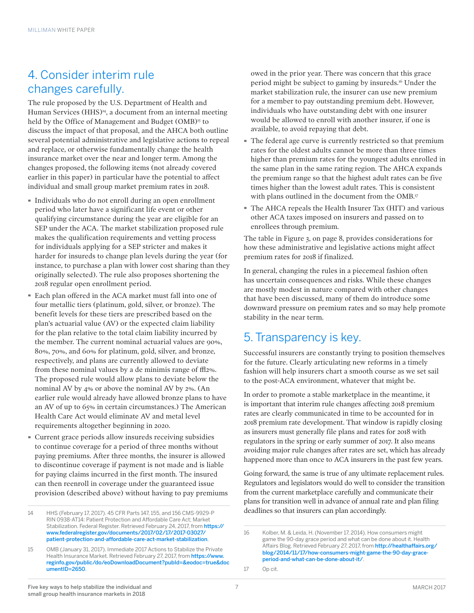### 4. Consider interim rule changes carefully.

The rule proposed by the U.S. Department of Health and Human Services (HHS)<sup>14</sup>, a document from an internal meeting held by the Office of Management and Budget (OMB)<sup>15</sup> to discuss the impact of that proposal, and the AHCA both outline several potential administrative and legislative actions to repeal and replace, or otherwise fundamentally change the health insurance market over the near and longer term. Among the changes proposed, the following items (not already covered earlier in this paper) in particular have the potential to affect individual and small group market premium rates in 2018.

- · Individuals who do not enroll during an open enrollment period who later have a significant life event or other qualifying circumstance during the year are eligible for an SEP under the ACA. The market stabilization proposed rule makes the qualification requirements and vetting process for individuals applying for a SEP stricter and makes it harder for insureds to change plan levels during the year (for instance, to purchase a plan with lower cost sharing than they originally selected). The rule also proposes shortening the 2018 regular open enrollment period.
- · Each plan offered in the ACA market must fall into one of four metallic tiers (platinum, gold, silver, or bronze). The benefit levels for these tiers are prescribed based on the plan's actuarial value (AV) or the expected claim liability for the plan relative to the total claim liability incurred by the member. The current nominal actuarial values are 90%, 80%, 70%, and 60% for platinum, gold, silver, and bronze, respectively, and plans are currently allowed to deviate from these nominal values by a de minimis range of  $\text{fHz}\%$ . The proposed rule would allow plans to deviate below the nominal AV by 4% or above the nominal AV by 2%. (An earlier rule would already have allowed bronze plans to have an AV of up to 65% in certain circumstances.) The American Health Care Act would eliminate AV and metal level requirements altogether beginning in 2020.
- · Current grace periods allow insureds receiving subsidies to continue coverage for a period of three months without paying premiums. After three months, the insurer is allowed to discontinue coverage if payment is not made and is liable for paying claims incurred in the first month. The insured can then reenroll in coverage under the guaranteed issue provision (described above) without having to pay premiums

owed in the prior year. There was concern that this grace period might be subject to gaming by insureds.16 Under the market stabilization rule, the insurer can use new premium for a member to pay outstanding premium debt. However, individuals who have outstanding debt with one insurer would be allowed to enroll with another insurer, if one is available, to avoid repaying that debt.

- · The federal age curve is currently restricted so that premium rates for the oldest adults cannot be more than three times higher than premium rates for the youngest adults enrolled in the same plan in the same rating region. The AHCA expands the premium range so that the highest adult rates can be five times higher than the lowest adult rates. This is consistent with plans outlined in the document from the OMB.17
- · The AHCA repeals the Health Insurer Tax (HIT) and various other ACA taxes imposed on insurers and passed on to enrollees through premium.

The table in Figure 3, on page 8, provides considerations for how these administrative and legislative actions might affect premium rates for 2018 if finalized.

In general, changing the rules in a piecemeal fashion often has uncertain consequences and risks. While these changes are mostly modest in nature compared with other changes that have been discussed, many of them do introduce some downward pressure on premium rates and so may help promote stability in the near term.

### 5. Transparency is key.

Successful insurers are constantly trying to position themselves for the future. Clearly articulating new reforms in a timely fashion will help insurers chart a smooth course as we set sail to the post-ACA environment, whatever that might be.

In order to promote a stable marketplace in the meantime, it is important that interim rule changes affecting 2018 premium rates are clearly communicated in time to be accounted for in 2018 premium rate development. That window is rapidly closing as insurers must generally file plans and rates for 2018 with regulators in the spring or early summer of 2017. It also means avoiding major rule changes after rates are set, which has already happened more than once to ACA insurers in the past few years.

Going forward, the same is true of any ultimate replacement rules. Regulators and legislators would do well to consider the transition from the current marketplace carefully and communicate their plans for transition well in advance of annual rate and plan filing deadlines so that insurers can plan accordingly.

<sup>14</sup> HHS (February 17, 2017). 45 CFR Parts 147, 155, and 156 CMS-9929-P RIN 0938-AT14: Patient Protection and Affordable Care Act; Market Stabilization. Federal Register. Retrieved February 24, 2017, from [https://](https://www.federalregister.gov/documents/2017/02/17/2017-03027/patient-protection-and-affordable-care-act-market-stabilization) [www.federalregister.gov/documents/2017/02/17/2017-03027/](https://www.federalregister.gov/documents/2017/02/17/2017-03027/patient-protection-and-affordable-care-act-market-stabilization) [patient-protection-and-affordable-care-act-market-stabilization](https://www.federalregister.gov/documents/2017/02/17/2017-03027/patient-protection-and-affordable-care-act-market-stabilization).

<sup>15</sup> OMB (January 31, 2017). Immediate 2017 Actions to Stabilize the Private Health Insurance Market. Retrieved February 27, 2017, from [https://www.](https://www.reginfo.gov/public/do/eoDownloadDocument?pubId=&eodoc=true&documentID=2650) [reginfo.gov/public/do/eoDownloadDocument?pubId=&eodoc=true&doc](https://www.reginfo.gov/public/do/eoDownloadDocument?pubId=&eodoc=true&documentID=2650) [umentID=2650](https://www.reginfo.gov/public/do/eoDownloadDocument?pubId=&eodoc=true&documentID=2650).

<sup>16</sup> Kolber, M. & Leida, H. (November 17, 2014). How consumers might game the 90-day grace period and what can be done about it. Health Affairs Blog. Retrieved February 27, 2017, from [http://healthaffairs.org/](http://healthaffairs.org/blog/2014/11/17/how-consumers-might-game-the-90-day-grace-period-and-what-can-be-done-about-it/) [blog/2014/11/17/how-consumers-might-game-the-90-day-grace](http://healthaffairs.org/blog/2014/11/17/how-consumers-might-game-the-90-day-grace-period-and-what-can-be-done-about-it/)[period-and-what-can-be-done-about-it/](http://healthaffairs.org/blog/2014/11/17/how-consumers-might-game-the-90-day-grace-period-and-what-can-be-done-about-it/).

<sup>17</sup> Op cit.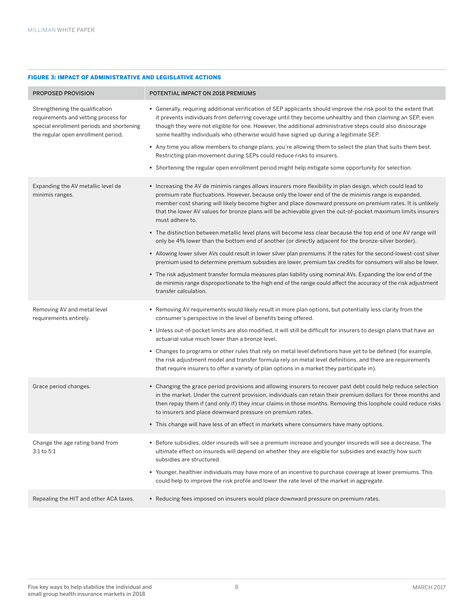#### FIGURE 3: IMPACT OF ADMINISTRATIVE AND LEGISLATIVE ACTIONS

| <b>PROPOSED PROVISION</b>                                                                                                                                   | POTENTIAL IMPACT ON 2018 PREMIUMS                                                                                                                                                                                                                                                                                                                                                                                                                                |
|-------------------------------------------------------------------------------------------------------------------------------------------------------------|------------------------------------------------------------------------------------------------------------------------------------------------------------------------------------------------------------------------------------------------------------------------------------------------------------------------------------------------------------------------------------------------------------------------------------------------------------------|
| Strengthening the qualification<br>requirements and vetting process for<br>special enrollment periods and shortening<br>the regular open enrollment period. | • Generally, requiring additional verification of SEP applicants should improve the risk pool to the extent that<br>it prevents individuals from deferring coverage until they become unhealthy and then claiming an SEP, even<br>though they were not eligible for one. However, the additional administrative steps could also discourage<br>some healthy individuals who otherwise would have signed up during a legitimate SEP.                              |
|                                                                                                                                                             | • Any time you allow members to change plans, you're allowing them to select the plan that suits them best.<br>Restricting plan movement during SEPs could reduce risks to insurers.                                                                                                                                                                                                                                                                             |
|                                                                                                                                                             | • Shortening the regular open enrollment period might help mitigate some opportunity for selection.                                                                                                                                                                                                                                                                                                                                                              |
| Expanding the AV metallic level de<br>minimis ranges.                                                                                                       | Increasing the AV de minimis ranges allows insurers more flexibility in plan design, which could lead to<br>premium rate fluctuations. However, because only the lower end of the de minimis range is expanded,<br>member cost sharing will likely become higher and place downward pressure on premium rates. It is unlikely<br>that the lower AV values for bronze plans will be achievable given the out-of-pocket maximum limits insurers<br>must adhere to. |
|                                                                                                                                                             | • The distinction between metallic level plans will become less clear because the top end of one AV range will<br>only be 4% lower than the bottom end of another (or directly adjacent for the bronze-silver border).                                                                                                                                                                                                                                           |
|                                                                                                                                                             | Allowing lower silver AVs could result in lower silver plan premiums. If the rates for the second-lowest-cost silver<br>premium used to determine premium subsidies are lower, premium tax credits for consumers will also be lower.                                                                                                                                                                                                                             |
|                                                                                                                                                             | • The risk adjustment transfer formula measures plan liability using nominal AVs. Expanding the low end of the<br>de minimis range disproportionate to the high end of the range could affect the accuracy of the risk adjustment<br>transfer calculation.                                                                                                                                                                                                       |
| Removing AV and metal level<br>requirements entirely.                                                                                                       | . Removing AV requirements would likely result in more plan options, but potentially less clarity from the<br>consumer's perspective in the level of benefits being offered.                                                                                                                                                                                                                                                                                     |
|                                                                                                                                                             | • Unless out-of-pocket limits are also modified, it will still be difficult for insurers to design plans that have an<br>actuarial value much lower than a bronze level.                                                                                                                                                                                                                                                                                         |
|                                                                                                                                                             | • Changes to programs or other rules that rely on metal level definitions have yet to be defined (for example,<br>the risk adjustment model and transfer formula rely on metal level definitions, and there are requirements<br>that require insurers to offer a variety of plan options in a market they participate in).                                                                                                                                       |
| Grace period changes.                                                                                                                                       | • Changing the grace period provisions and allowing insurers to recover past debt could help reduce selection<br>in the market. Under the current provision, individuals can retain their premium dollars for three months and<br>then repay them if (and only if) they incur claims in those months. Removing this loophole could reduce risks<br>to insurers and place downward pressure on premium rates.                                                     |
|                                                                                                                                                             | . This change will have less of an effect in markets where consumers have many options.                                                                                                                                                                                                                                                                                                                                                                          |
| Change the age rating band from<br>3:1 to 5:1                                                                                                               | Before subsidies, older insureds will see a premium increase and younger insureds will see a decrease. The<br>ultimate effect on insureds will depend on whether they are eligible for subsidies and exactly how such<br>subsidies are structured.                                                                                                                                                                                                               |
|                                                                                                                                                             | • Younger, healthier individuals may have more of an incentive to purchase coverage at lower premiums. This<br>could help to improve the risk profile and lower the rate level of the market in aggregate.                                                                                                                                                                                                                                                       |
| Repealing the HIT and other ACA taxes.                                                                                                                      | . Reducing fees imposed on insurers would place downward pressure on premium rates.                                                                                                                                                                                                                                                                                                                                                                              |